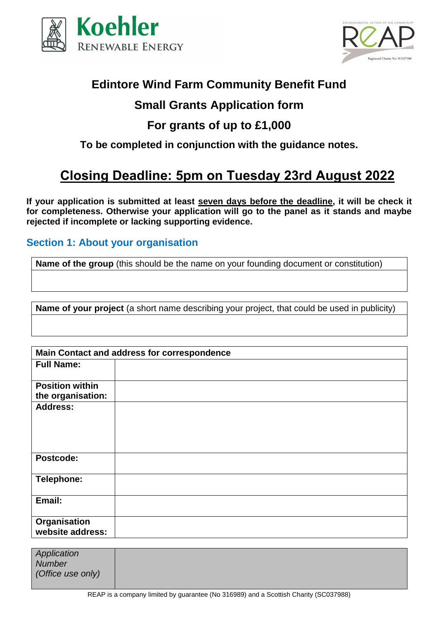



## **Edintore Wind Farm Community Benefit Fund**

## **Small Grants Application form**

# **For grants of up to £1,000**

**To be completed in conjunction with the guidance notes.**

# **Closing Deadline: 5pm on Tuesday 23rd August 2022**

**If your application is submitted at least seven days before the deadline, it will be check it for completeness. Otherwise your application will go to the panel as it stands and maybe rejected if incomplete or lacking supporting evidence.**

### **Section 1: About your organisation**

**Name of the group** (this should be the name on your founding document or constitution)

**Name of your project** (a short name describing your project, that could be used in publicity)

|                                             | Main Contact and address for correspondence |
|---------------------------------------------|---------------------------------------------|
| <b>Full Name:</b>                           |                                             |
| <b>Position within</b><br>the organisation: |                                             |
| <b>Address:</b>                             |                                             |
| Postcode:                                   |                                             |
| Telephone:                                  |                                             |
| Email:                                      |                                             |
| Organisation<br>website address:            |                                             |

| Application<br><b>Number</b> |  |
|------------------------------|--|
| (Office use only)            |  |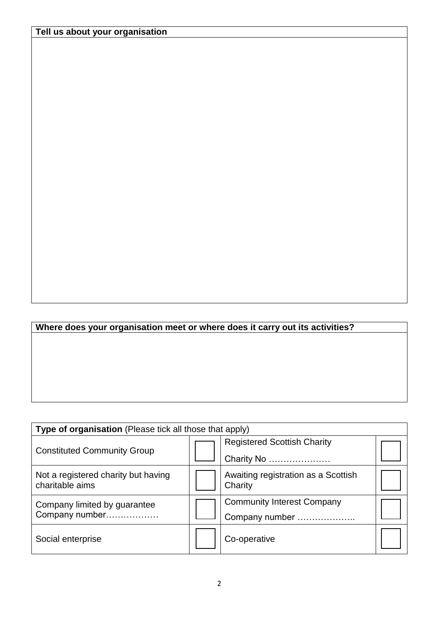## **Where does your organisation meet or where does it carry out its activities?**

| Type of organisation (Please tick all those that apply) |  |                                                |  |  |
|---------------------------------------------------------|--|------------------------------------------------|--|--|
|                                                         |  | <b>Registered Scottish Charity</b>             |  |  |
| <b>Constituted Community Group</b>                      |  | Charity No                                     |  |  |
| Not a registered charity but having<br>charitable aims  |  | Awaiting registration as a Scottish<br>Charity |  |  |
| Company limited by guarantee                            |  | <b>Community Interest Company</b>              |  |  |
| Company number                                          |  | Company number                                 |  |  |
| Social enterprise                                       |  | Co-operative                                   |  |  |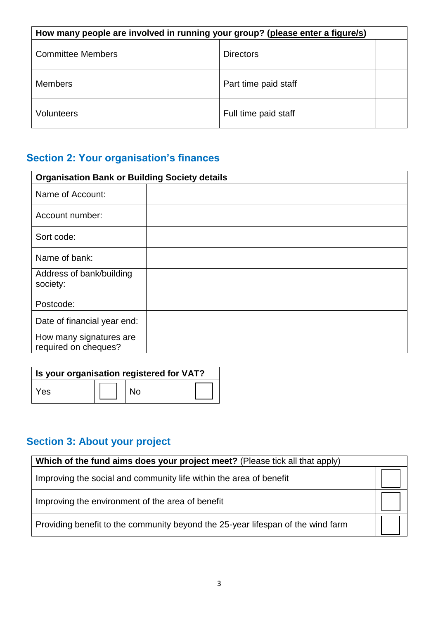| How many people are involved in running your group? (please enter a figure/s) |  |                      |  |
|-------------------------------------------------------------------------------|--|----------------------|--|
| <b>Committee Members</b>                                                      |  | <b>Directors</b>     |  |
| <b>Members</b>                                                                |  | Part time paid staff |  |
| Volunteers                                                                    |  | Full time paid staff |  |

# **Section 2: Your organisation's finances**

| <b>Organisation Bank or Building Society details</b> |  |
|------------------------------------------------------|--|
| Name of Account:                                     |  |
| Account number:                                      |  |
| Sort code:                                           |  |
| Name of bank:                                        |  |
| Address of bank/building<br>society:                 |  |
| Postcode:                                            |  |
| Date of financial year end:                          |  |
| How many signatures are<br>required on cheques?      |  |

| Is your organisation registered for VAT? |  |           |  |  |
|------------------------------------------|--|-----------|--|--|
| Yes                                      |  | <b>No</b> |  |  |

# **Section 3: About your project**

| Which of the fund aims does your project meet? (Please tick all that apply)     |  |
|---------------------------------------------------------------------------------|--|
| Improving the social and community life within the area of benefit              |  |
| Improving the environment of the area of benefit                                |  |
| Providing benefit to the community beyond the 25-year lifespan of the wind farm |  |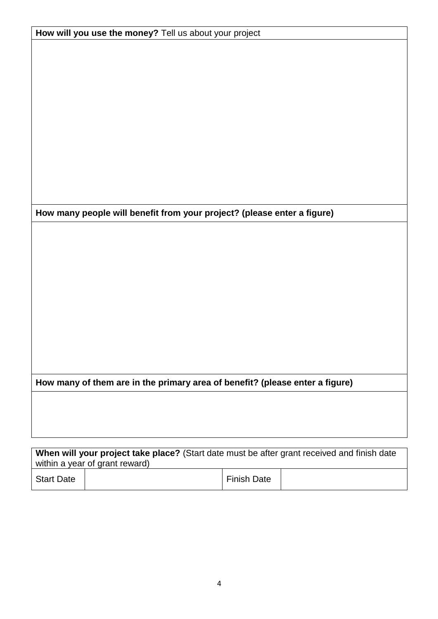| How will you use the money? Tell us about your project                       |  |  |  |
|------------------------------------------------------------------------------|--|--|--|
|                                                                              |  |  |  |
|                                                                              |  |  |  |
|                                                                              |  |  |  |
|                                                                              |  |  |  |
|                                                                              |  |  |  |
|                                                                              |  |  |  |
|                                                                              |  |  |  |
|                                                                              |  |  |  |
|                                                                              |  |  |  |
|                                                                              |  |  |  |
|                                                                              |  |  |  |
|                                                                              |  |  |  |
|                                                                              |  |  |  |
| How many people will benefit from your project? (please enter a figure)      |  |  |  |
|                                                                              |  |  |  |
|                                                                              |  |  |  |
|                                                                              |  |  |  |
|                                                                              |  |  |  |
|                                                                              |  |  |  |
|                                                                              |  |  |  |
|                                                                              |  |  |  |
|                                                                              |  |  |  |
|                                                                              |  |  |  |
|                                                                              |  |  |  |
|                                                                              |  |  |  |
|                                                                              |  |  |  |
| How many of them are in the primary area of benefit? (please enter a figure) |  |  |  |
|                                                                              |  |  |  |
|                                                                              |  |  |  |
|                                                                              |  |  |  |
|                                                                              |  |  |  |
|                                                                              |  |  |  |

| <b>When Will your project take place?</b> (Start date must be after grant received and finish date) |  |             |  |  |
|-----------------------------------------------------------------------------------------------------|--|-------------|--|--|
| within a year of grant reward)                                                                      |  |             |  |  |
| <b>Start Date</b>                                                                                   |  | Finish Date |  |  |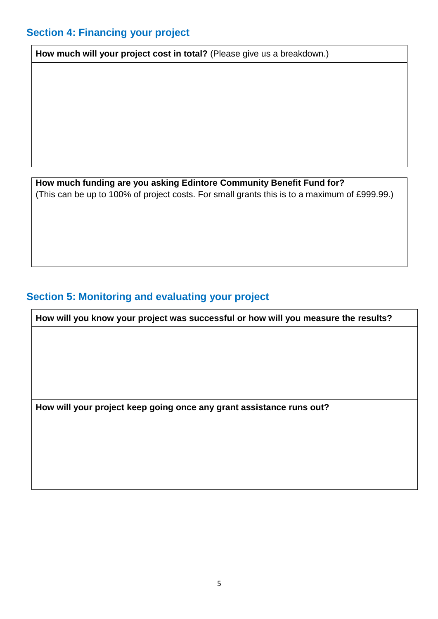## **Section 4: Financing your project**

**How much will your project cost in total?** (Please give us a breakdown.)

**How much funding are you asking Edintore Community Benefit Fund for?**  (This can be up to 100% of project costs. For small grants this is to a maximum of £999.99.)

### **Section 5: Monitoring and evaluating your project**

**How will you know your project was successful or how will you measure the results?**

**How will your project keep going once any grant assistance runs out?**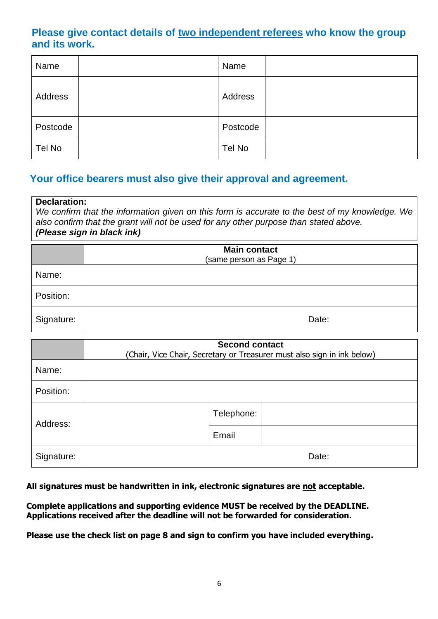#### **Please give contact details of two independent referees who know the group and its work.**

| Name     | Name     |  |
|----------|----------|--|
| Address  | Address  |  |
| Postcode | Postcode |  |
| Tel No   | Tel No   |  |

#### **Your office bearers must also give their approval and agreement.**

#### **Declaration:**

*We confirm that the information given on this form is accurate to the best of my knowledge. We also confirm that the grant will not be used for any other purpose than stated above. (Please sign in black ink)*

|            | <b>Main contact</b><br>(same person as Page 1) |
|------------|------------------------------------------------|
| Name:      |                                                |
| Position:  |                                                |
| Signature: | Date:                                          |

|            | <b>Second contact</b><br>(Chair, Vice Chair, Secretary or Treasurer must also sign in ink below) |  |  |
|------------|--------------------------------------------------------------------------------------------------|--|--|
| Name:      |                                                                                                  |  |  |
| Position:  |                                                                                                  |  |  |
| Address:   | Telephone:                                                                                       |  |  |
|            | Email                                                                                            |  |  |
| Signature: | Date:                                                                                            |  |  |

**All signatures must be handwritten in ink, electronic signatures are not acceptable.**

**Complete applications and supporting evidence MUST be received by the DEADLINE. Applications received after the deadline will not be forwarded for consideration.**

**Please use the check list on page 8 and sign to confirm you have included everything.**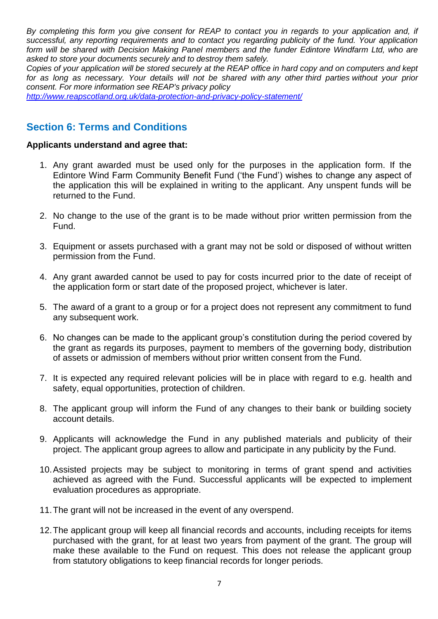*By completing this form you give consent for REAP to contact you in regards to your application and, if successful, any reporting requirements and to contact you regarding publicity of the fund. Your application form will be shared with Decision Making Panel members and the funder Edintore Windfarm Ltd, who are asked to store your documents securely and to destroy them safely.* 

*Copies of your application will be stored securely at the REAP office in hard copy and on computers and kept for as long as necessary. Your details will not be shared with any other third parties without your prior consent. For more information see REAP's privacy policy* 

*<http://www.reapscotland.org.uk/data-protection-and-privacy-policy-statement/>*

#### **Section 6: Terms and Conditions**

#### **Applicants understand and agree that:**

- 1. Any grant awarded must be used only for the purposes in the application form. If the Edintore Wind Farm Community Benefit Fund ('the Fund') wishes to change any aspect of the application this will be explained in writing to the applicant. Any unspent funds will be returned to the Fund.
- 2. No change to the use of the grant is to be made without prior written permission from the Fund.
- 3. Equipment or assets purchased with a grant may not be sold or disposed of without written permission from the Fund.
- 4. Any grant awarded cannot be used to pay for costs incurred prior to the date of receipt of the application form or start date of the proposed project, whichever is later.
- 5. The award of a grant to a group or for a project does not represent any commitment to fund any subsequent work.
- 6. No changes can be made to the applicant group's constitution during the period covered by the grant as regards its purposes, payment to members of the governing body, distribution of assets or admission of members without prior written consent from the Fund.
- 7. It is expected any required relevant policies will be in place with regard to e.g. health and safety, equal opportunities, protection of children.
- 8. The applicant group will inform the Fund of any changes to their bank or building society account details.
- 9. Applicants will acknowledge the Fund in any published materials and publicity of their project. The applicant group agrees to allow and participate in any publicity by the Fund.
- 10.Assisted projects may be subject to monitoring in terms of grant spend and activities achieved as agreed with the Fund. Successful applicants will be expected to implement evaluation procedures as appropriate.
- 11.The grant will not be increased in the event of any overspend.
- 12.The applicant group will keep all financial records and accounts, including receipts for items purchased with the grant, for at least two years from payment of the grant. The group will make these available to the Fund on request. This does not release the applicant group from statutory obligations to keep financial records for longer periods.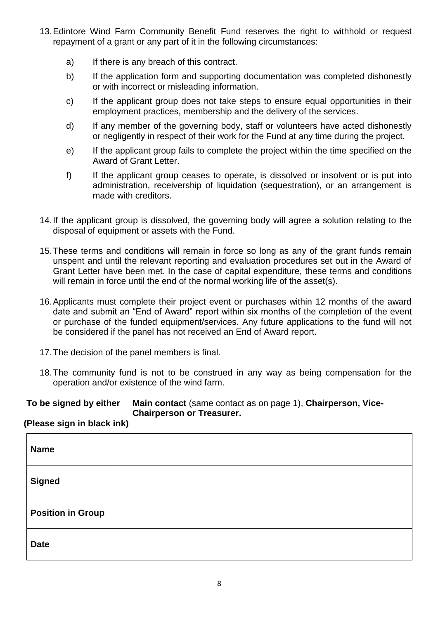- 13.Edintore Wind Farm Community Benefit Fund reserves the right to withhold or request repayment of a grant or any part of it in the following circumstances:
	- a) If there is any breach of this contract.
	- b) If the application form and supporting documentation was completed dishonestly or with incorrect or misleading information.
	- c) If the applicant group does not take steps to ensure equal opportunities in their employment practices, membership and the delivery of the services.
	- d) If any member of the governing body, staff or volunteers have acted dishonestly or negligently in respect of their work for the Fund at any time during the project.
	- e) If the applicant group fails to complete the project within the time specified on the Award of Grant Letter.
	- f) If the applicant group ceases to operate, is dissolved or insolvent or is put into administration, receivership of liquidation (sequestration), or an arrangement is made with creditors.
- 14.If the applicant group is dissolved, the governing body will agree a solution relating to the disposal of equipment or assets with the Fund.
- 15.These terms and conditions will remain in force so long as any of the grant funds remain unspent and until the relevant reporting and evaluation procedures set out in the Award of Grant Letter have been met. In the case of capital expenditure, these terms and conditions will remain in force until the end of the normal working life of the asset(s).
- 16.Applicants must complete their project event or purchases within 12 months of the award date and submit an "End of Award" report within six months of the completion of the event or purchase of the funded equipment/services. Any future applications to the fund will not be considered if the panel has not received an End of Award report.
- 17.The decision of the panel members is final.
- 18.The community fund is not to be construed in any way as being compensation for the operation and/or existence of the wind farm.

#### **To be signed by either Main contact** (same contact as on page 1), **Chairperson, Vice-Chairperson or Treasurer.**

#### **(Please sign in black ink)**

| <b>Name</b>              |  |
|--------------------------|--|
| <b>Signed</b>            |  |
| <b>Position in Group</b> |  |
| <b>Date</b>              |  |